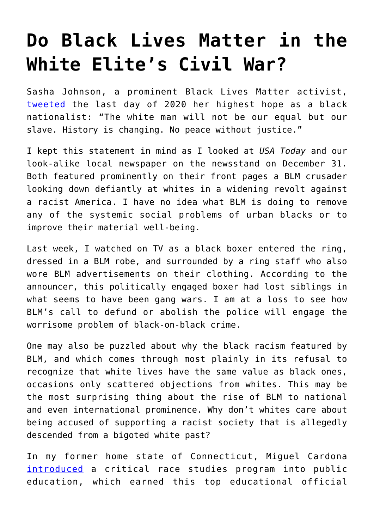## **[Do Black Lives Matter in the](https://intellectualtakeout.org/2021/01/do-black-lives-matter-in-the-white-elites-civil-war/) [White Elite's Civil War?](https://intellectualtakeout.org/2021/01/do-black-lives-matter-in-the-white-elites-civil-war/)**

Sasha Johnson, a prominent Black Lives Matter activist, [tweeted](https://twitter.com/stillgray/status/1300726621742051328?s=21) the last day of 2020 her highest hope as a black nationalist: "The white man will not be our equal but our slave. History is changing. No peace without justice."

I kept this statement in mind as I looked at *USA Today* and our look-alike local newspaper on the newsstand on December 31. Both featured prominently on their front pages a BLM crusader looking down defiantly at whites in a widening revolt against a racist America. I have no idea what BLM is doing to remove any of the systemic social problems of urban blacks or to improve their material well-being.

Last week, I watched on TV as a black boxer entered the ring, dressed in a BLM robe, and surrounded by a ring staff who also wore BLM advertisements on their clothing. According to the announcer, this politically engaged boxer had lost siblings in what seems to have been gang wars. I am at a loss to see how BLM's call to defund or abolish the police will engage the worrisome problem of black-on-black crime.

One may also be puzzled about why the black racism featured by BLM, and which comes through most plainly in its refusal to recognize that white lives have the same value as black ones, occasions only scattered objections from whites. This may be the most surprising thing about the rise of BLM to national and even international prominence. Why don't whites care about being accused of supporting a racist society that is allegedly descended from a bigoted white past?

In my former home state of Connecticut, Miguel Cardona [introduced](https://www.msn.com/en-us/news/us/education-secretary-nominee-oversaw-creation-of-critical-theory-course-for-high-schoolers/ar-BB1cbe54) a critical race studies program into public education, which earned this top educational official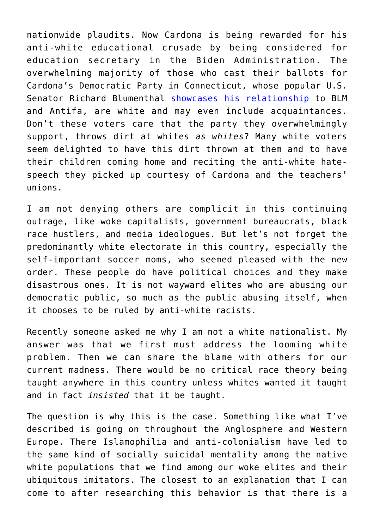nationwide plaudits. Now Cardona is being rewarded for his anti-white educational crusade by being considered for education secretary in the Biden Administration. The overwhelming majority of those who cast their ballots for Cardona's Democratic Party in Connecticut, whose popular U.S. Senator Richard Blumenthal [showcases his relationship](https://www.independentsentinel.com/actor-jim-belushi-senator-blumenthal-back-antifa-blm/) to BLM and Antifa, are white and may even include acquaintances. Don't these voters care that the party they overwhelmingly support, throws dirt at whites *as whites*? Many white voters seem delighted to have this dirt thrown at them and to have their children coming home and reciting the anti-white hatespeech they picked up courtesy of Cardona and the teachers' unions.

I am not denying others are complicit in this continuing outrage, like woke capitalists, government bureaucrats, black race hustlers, and media ideologues. But let's not forget the predominantly white electorate in this country, especially the self-important soccer moms, who seemed pleased with the new order. These people do have political choices and they make disastrous ones. It is not wayward elites who are abusing our democratic public, so much as the public abusing itself, when it chooses to be ruled by anti-white racists.

Recently someone asked me why I am not a white nationalist. My answer was that we first must address the looming white problem. Then we can share the blame with others for our current madness. There would be no critical race theory being taught anywhere in this country unless whites wanted it taught and in fact *insisted* that it be taught.

The question is why this is the case. Something like what I've described is going on throughout the Anglosphere and Western Europe. There Islamophilia and anti-colonialism have led to the same kind of socially suicidal mentality among the native white populations that we find among our woke elites and their ubiquitous imitators. The closest to an explanation that I can come to after researching this behavior is that there is a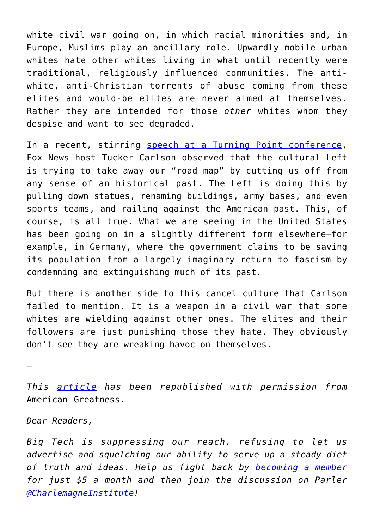white civil war going on, in which racial minorities and, in Europe, Muslims play an ancillary role. Upwardly mobile urban whites hate other whites living in what until recently were traditional, religiously influenced communities. The antiwhite, anti-Christian torrents of abuse coming from these elites and would-be elites are never aimed at themselves. Rather they are intended for those *other* whites whom they despise and want to see degraded.

In a recent, stirring [speech at a Turning Point conference,](https://www.realclearpolitics.com/video/2020/12/21/full_speech_tucker_carlson_speaks_at_turning_point_usas_2020_student_action_summit.html#!) Fox News host Tucker Carlson observed that the cultural Left is trying to take away our "road map" by cutting us off from any sense of an historical past. The Left is doing this by pulling down statues, renaming buildings, army bases, and even sports teams, and railing against the American past. This, of course, is all true. What we are seeing in the United States has been going on in a slightly different form elsewhere—for example, in Germany, where the government claims to be saving its population from a largely imaginary return to fascism by condemning and extinguishing much of its past.

But there is another side to this cancel culture that Carlson failed to mention. It is a weapon in a civil war that some whites are wielding against other ones. The elites and their followers are just punishing those they hate. They obviously don't see they are wreaking havoc on themselves.

—

*This [article](https://amgreatness.com/2021/01/03/do-black-lives-matter-in-the-white-elites-civil-war/) has been republished with permission from* American Greatness.

*Dear Readers,*

*Big Tech is suppressing our reach, refusing to let us advertise and squelching our ability to serve up a steady diet of truth and ideas. Help us fight back by [becoming a member](https://www.chroniclesmagazine.org/subscribe/) for just \$5 a month and then join the discussion on Parler [@CharlemagneInstitute](https://parler.com/profile/CharlemagneInstitute)!*